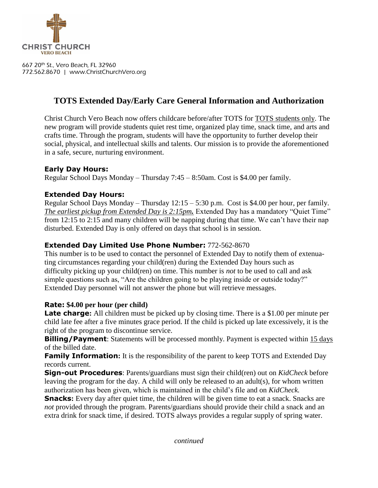

667 20th St., Vero Beach, FL 32960 772.562.8670 | www.ChristChurchVero.org

# **TOTS Extended Day/Early Care General Information and Authorization**

Christ Church Vero Beach now offers childcare before/after TOTS for TOTS students only. The new program will provide students quiet rest time, organized play time, snack time, and arts and crafts time. Through the program, students will have the opportunity to further develop their social, physical, and intellectual skills and talents. Our mission is to provide the aforementioned in a safe, secure, nurturing environment.

# **Early Day Hours:**

Regular School Days Monday – Thursday 7:45 – 8:50am. Cost is \$4.00 per family.

# **Extended Day Hours:**

Regular School Days Monday – Thursday 12:15 – 5:30 p.m. Cost is \$4.00 per hour, per family. *The earliest pickup from Extended Day is 2:15pm.* Extended Day has a mandatory "Quiet Time" from 12:15 to 2:15 and many children will be napping during that time. We can't have their nap disturbed. Extended Day is only offered on days that school is in session.

## **Extended Day Limited Use Phone Number:** 772-562-8670

This number is to be used to contact the personnel of Extended Day to notify them of extenuating circumstances regarding your child(ren) during the Extended Day hours such as difficulty picking up your child(ren) on time. This number is *not* to be used to call and ask simple questions such as, "Are the children going to be playing inside or outside today?" Extended Day personnel will not answer the phone but will retrieve messages.

## **Rate: \$4.00 per hour (per child)**

**Late charge:** All children must be picked up by closing time. There is a \$1.00 per minute per child late fee after a five minutes grace period. If the child is picked up late excessively, it is the right of the program to discontinue service.

**Billing/Payment:** Statements will be processed monthly. Payment is expected within 15 days of the billed date.

**Family Information:** It is the responsibility of the parent to keep TOTS and Extended Day records current.

**Sign-out Procedures**: Parents/guardians must sign their child(ren) out on *KidCheck* before leaving the program for the day. A child will only be released to an adult(s), for whom written authorization has been given, which is maintained in the child's file and on *KidCheck.*

**Snacks:** Every day after quiet time, the children will be given time to eat a snack. Snacks are *not* provided through the program. Parents/guardians should provide their child a snack and an extra drink for snack time, if desired. TOTS always provides a regular supply of spring water.